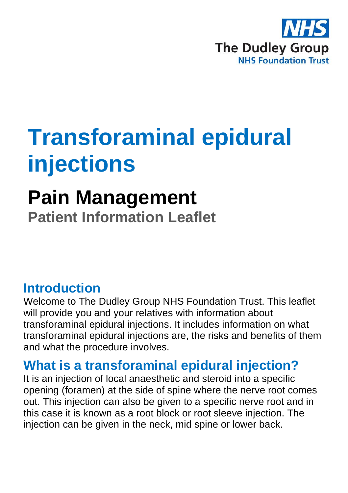

# **Transforaminal epidural injections**

# **Pain Management**

**Patient Information Leaflet**

## **Introduction**

Welcome to The Dudley Group NHS Foundation Trust. This leaflet will provide you and your relatives with information about transforaminal epidural injections. It includes information on what transforaminal epidural injections are, the risks and benefits of them and what the procedure involves.

## **What is a transforaminal epidural injection?**

It is an injection of local anaesthetic and steroid into a specific opening (foramen) at the side of spine where the nerve root comes out. This injection can also be given to a specific nerve root and in this case it is known as a root block or root sleeve injection. The injection can be given in the neck, mid spine or lower back.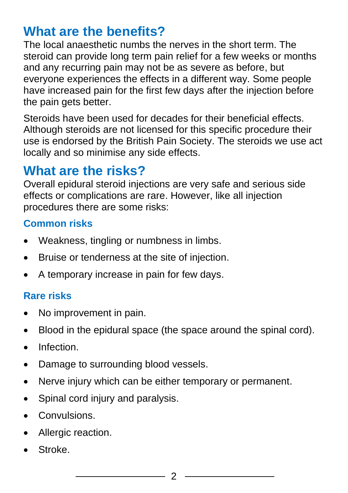## **What are the benefits?**

The local anaesthetic numbs the nerves in the short term. The steroid can provide long term pain relief for a few weeks or months and any recurring pain may not be as severe as before, but everyone experiences the effects in a different way. Some people have increased pain for the first few days after the injection before the pain gets better.

Steroids have been used for decades for their beneficial effects. Although steroids are not licensed for this specific procedure their use is endorsed by the British Pain Society. The steroids we use act locally and so minimise any side effects.

### **What are the risks?**

Overall epidural steroid injections are very safe and serious side effects or complications are rare. However, like all injection procedures there are some risks:

#### **Common risks**

- Weakness, tingling or numbness in limbs.
- Bruise or tenderness at the site of injection.
- A temporary increase in pain for few days.

#### **Rare risks**

- No improvement in pain.
- Blood in the epidural space (the space around the spinal cord).
- Infection.
- Damage to surrounding blood vessels.
- Nerve injury which can be either temporary or permanent.
- Spinal cord injury and paralysis.
- Convulsions.
- Allergic reaction.
- Stroke.

 $\mathfrak{D}$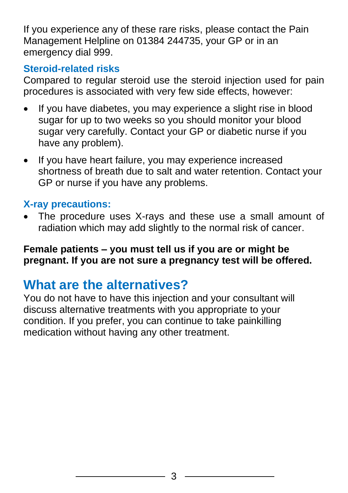If you experience any of these rare risks, please contact the Pain Management Helpline on 01384 244735, your GP or in an emergency dial 999.

#### **Steroid-related risks**

Compared to regular steroid use the steroid injection used for pain procedures is associated with very few side effects, however:

- If you have diabetes, you may experience a slight rise in blood sugar for up to two weeks so you should monitor your blood sugar very carefully. Contact your GP or diabetic nurse if you have any problem).
- If you have heart failure, you may experience increased shortness of breath due to salt and water retention. Contact your GP or nurse if you have any problems.

#### **X-ray precautions:**

• The procedure uses X-rays and these use a small amount of radiation which may add slightly to the normal risk of cancer.

**Female patients – you must tell us if you are or might be pregnant. If you are not sure a pregnancy test will be offered.**

### **What are the alternatives?**

You do not have to have this injection and your consultant will discuss alternative treatments with you appropriate to your condition. If you prefer, you can continue to take painkilling medication without having any other treatment.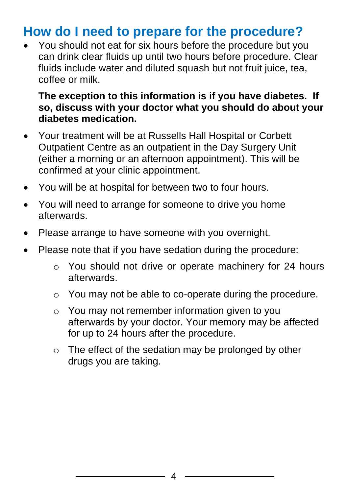## **How do I need to prepare for the procedure?**

• You should not eat for six hours before the procedure but you can drink clear fluids up until two hours before procedure. Clear fluids include water and diluted squash but not fruit juice, tea, coffee or milk.

#### **The exception to this information is if you have diabetes. If so, discuss with your doctor what you should do about your diabetes medication.**

- Your treatment will be at Russells Hall Hospital or Corbett Outpatient Centre as an outpatient in the Day Surgery Unit (either a morning or an afternoon appointment). This will be confirmed at your clinic appointment.
- You will be at hospital for between two to four hours.
- You will need to arrange for someone to drive you home afterwards.
- Please arrange to have someone with you overnight.
- Please note that if you have sedation during the procedure:
	- o You should not drive or operate machinery for 24 hours afterwards.
	- o You may not be able to co-operate during the procedure.
	- o You may not remember information given to you afterwards by your doctor. Your memory may be affected for up to 24 hours after the procedure.
	- o The effect of the sedation may be prolonged by other drugs you are taking.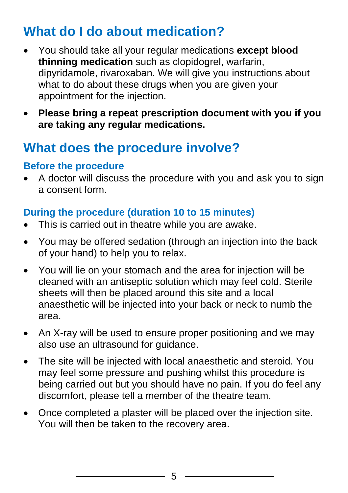# **What do I do about medication?**

- You should take all your regular medications **except blood thinning medication** such as clopidogrel, warfarin, dipyridamole, rivaroxaban. We will give you instructions about what to do about these drugs when you are given your appointment for the injection.
- **Please bring a repeat prescription document with you if you are taking any regular medications.**

## **What does the procedure involve?**

#### **Before the procedure**

• A doctor will discuss the procedure with you and ask you to sign a consent form.

#### **During the procedure (duration 10 to 15 minutes)**

- This is carried out in theatre while you are awake.
- You may be offered sedation (through an injection into the back of your hand) to help you to relax.
- You will lie on your stomach and the area for injection will be cleaned with an antiseptic solution which may feel cold. Sterile sheets will then be placed around this site and a local anaesthetic will be injected into your back or neck to numb the area.
- An X-ray will be used to ensure proper positioning and we may also use an ultrasound for guidance.
- The site will be injected with local anaesthetic and steroid. You may feel some pressure and pushing whilst this procedure is being carried out but you should have no pain. If you do feel any discomfort, please tell a member of the theatre team.
- Once completed a plaster will be placed over the injection site. You will then be taken to the recovery area.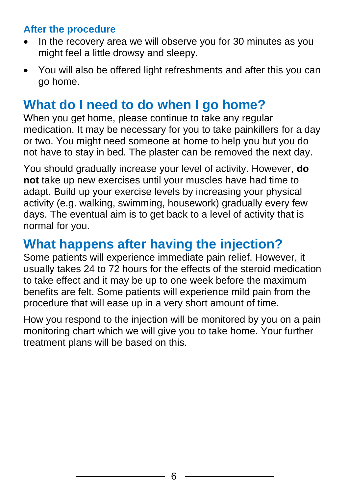#### **After the procedure**

- In the recovery area we will observe you for 30 minutes as you might feel a little drowsy and sleepy.
- You will also be offered light refreshments and after this you can go home.

## **What do I need to do when I go home?**

When you get home, please continue to take any regular medication. It may be necessary for you to take painkillers for a day or two. You might need someone at home to help you but you do not have to stay in bed. The plaster can be removed the next day.

You should gradually increase your level of activity. However, **do not** take up new exercises until your muscles have had time to adapt. Build up your exercise levels by increasing your physical activity (e.g. walking, swimming, housework) gradually every few days. The eventual aim is to get back to a level of activity that is normal for you.

## **What happens after having the injection?**

Some patients will experience immediate pain relief. However, it usually takes 24 to 72 hours for the effects of the steroid medication to take effect and it may be up to one week before the maximum benefits are felt. Some patients will experience mild pain from the procedure that will ease up in a very short amount of time.

How you respond to the injection will be monitored by you on a pain monitoring chart which we will give you to take home. Your further treatment plans will be based on this.